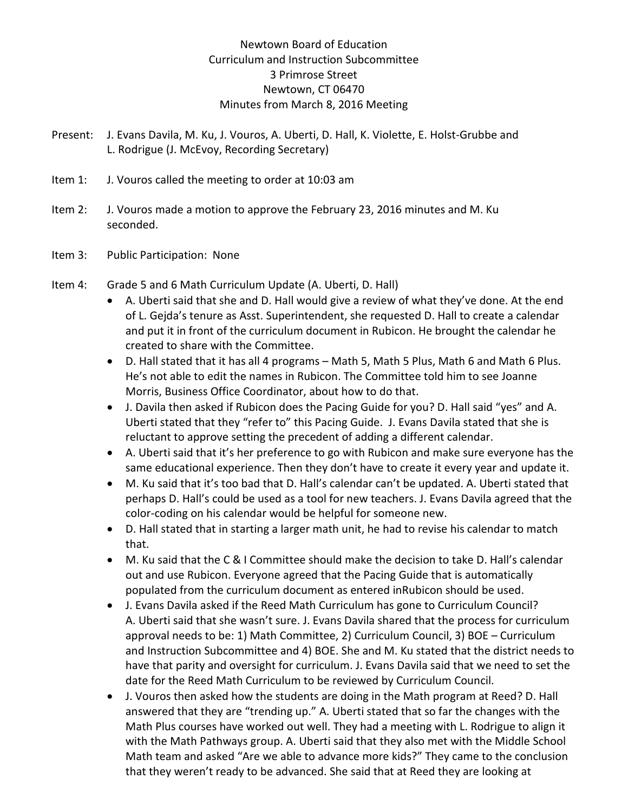## Newtown Board of Education Curriculum and Instruction Subcommittee 3 Primrose Street Newtown, CT 06470 Minutes from March 8, 2016 Meeting

- Present: J. Evans Davila, M. Ku, J. Vouros, A. Uberti, D. Hall, K. Violette, E. Holst-Grubbe and L. Rodrigue (J. McEvoy, Recording Secretary)
- Item 1: J. Vouros called the meeting to order at 10:03 am
- Item 2: J. Vouros made a motion to approve the February 23, 2016 minutes and M. Ku seconded.
- Item 3: Public Participation: None
- Item 4: Grade 5 and 6 Math Curriculum Update (A. Uberti, D. Hall)
	- A. Uberti said that she and D. Hall would give a review of what they've done. At the end of L. Gejda's tenure as Asst. Superintendent, she requested D. Hall to create a calendar and put it in front of the curriculum document in Rubicon. He brought the calendar he created to share with the Committee.
	- D. Hall stated that it has all 4 programs Math 5, Math 5 Plus, Math 6 and Math 6 Plus. He's not able to edit the names in Rubicon. The Committee told him to see Joanne Morris, Business Office Coordinator, about how to do that.
	- J. Davila then asked if Rubicon does the Pacing Guide for you? D. Hall said "yes" and A. Uberti stated that they "refer to" this Pacing Guide. J. Evans Davila stated that she is reluctant to approve setting the precedent of adding a different calendar.
	- A. Uberti said that it's her preference to go with Rubicon and make sure everyone has the same educational experience. Then they don't have to create it every year and update it.
	- M. Ku said that it's too bad that D. Hall's calendar can't be updated. A. Uberti stated that perhaps D. Hall's could be used as a tool for new teachers. J. Evans Davila agreed that the color-coding on his calendar would be helpful for someone new.
	- D. Hall stated that in starting a larger math unit, he had to revise his calendar to match that.
	- M. Ku said that the C & I Committee should make the decision to take D. Hall's calendar out and use Rubicon. Everyone agreed that the Pacing Guide that is automatically populated from the curriculum document as entered inRubicon should be used.
	- J. Evans Davila asked if the Reed Math Curriculum has gone to Curriculum Council? A. Uberti said that she wasn't sure. J. Evans Davila shared that the process for curriculum approval needs to be: 1) Math Committee, 2) Curriculum Council, 3) BOE – Curriculum and Instruction Subcommittee and 4) BOE. She and M. Ku stated that the district needs to have that parity and oversight for curriculum. J. Evans Davila said that we need to set the date for the Reed Math Curriculum to be reviewed by Curriculum Council.
	- J. Vouros then asked how the students are doing in the Math program at Reed? D. Hall answered that they are "trending up." A. Uberti stated that so far the changes with the Math Plus courses have worked out well. They had a meeting with L. Rodrigue to align it with the Math Pathways group. A. Uberti said that they also met with the Middle School Math team and asked "Are we able to advance more kids?" They came to the conclusion that they weren't ready to be advanced. She said that at Reed they are looking at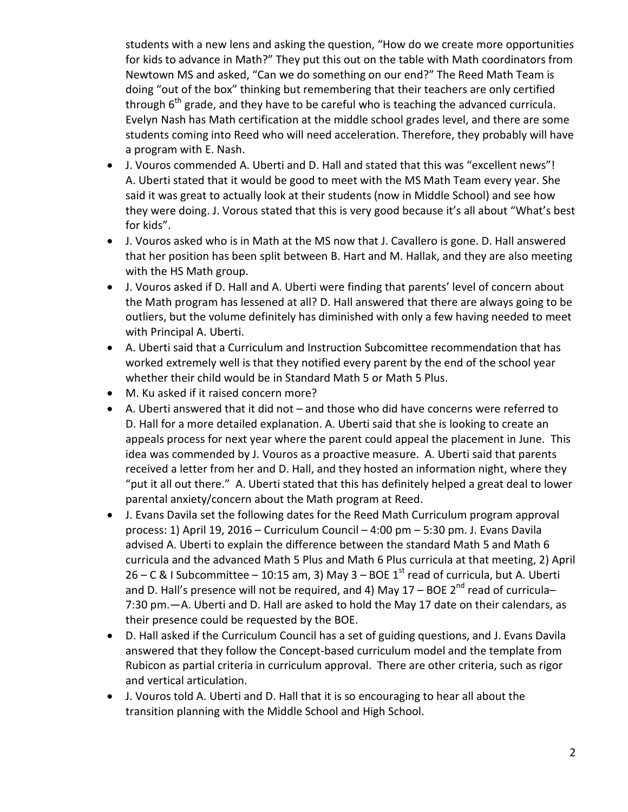students with a new lens and asking the question, "How do we create more opportunities for kids to advance in Math?" They put this out on the table with Math coordinators from Newtown MS and asked, "Can we do something on our end?" The Reed Math Team is doing "out of the box" thinking but remembering that their teachers are only certified through  $6<sup>th</sup>$  grade, and they have to be careful who is teaching the advanced curricula. Evelyn Nash has Math certification at the middle school grades level, and there are some students coming into Reed who will need acceleration. Therefore, they probably will have a program with E. Nash.

- J. Vouros commended A. Uberti and D. Hall and stated that this was "excellent news"! A. Uberti stated that it would be good to meet with the MS Math Team every year. She said it was great to actually look at their students (now in Middle School) and see how they were doing. J. Vorous stated that this is very good because it's all about "What's best for kids".
- J. Vouros asked who is in Math at the MS now that J. Cavallero is gone. D. Hall answered that her position has been split between B. Hart and M. Hallak, and they are also meeting with the HS Math group.
- J. Vouros asked if D. Hall and A. Uberti were finding that parents' level of concern about the Math program has lessened at all? D. Hall answered that there are always going to be outliers, but the volume definitely has diminished with only a few having needed to meet with Principal A. Uberti.
- A. Uberti said that a Curriculum and Instruction Subcomittee recommendation that has worked extremely well is that they notified every parent by the end of the school year whether their child would be in Standard Math 5 or Math 5 Plus.
- M. Ku asked if it raised concern more?
- A. Uberti answered that it did not and those who did have concerns were referred to D. Hall for a more detailed explanation. A. Uberti said that she is looking to create an appeals process for next year where the parent could appeal the placement in June. This idea was commended by J. Vouros as a proactive measure. A. Uberti said that parents received a letter from her and D. Hall, and they hosted an information night, where they "put it all out there." A. Uberti stated that this has definitely helped a great deal to lower parental anxiety/concern about the Math program at Reed.
- J. Evans Davila set the following dates for the Reed Math Curriculum program approval process: 1) April 19, 2016 – Curriculum Council – 4:00 pm – 5:30 pm. J. Evans Davila advised A. Uberti to explain the difference between the standard Math 5 and Math 6 curricula and the advanced Math 5 Plus and Math 6 Plus curricula at that meeting, 2) April 26 – C & I Subcommittee – 10:15 am, 3) May 3 – BOE  $1<sup>st</sup>$  read of curricula, but A. Uberti and D. Hall's presence will not be required, and 4) May  $17 - BOE$   $2<sup>nd</sup>$  read of curricula-7:30 pm.—A. Uberti and D. Hall are asked to hold the May 17 date on their calendars, as their presence could be requested by the BOE.
- D. Hall asked if the Curriculum Council has a set of guiding questions, and J. Evans Davila answered that they follow the Concept-based curriculum model and the template from Rubicon as partial criteria in curriculum approval. There are other criteria, such as rigor and vertical articulation.
- J. Vouros told A. Uberti and D. Hall that it is so encouraging to hear all about the transition planning with the Middle School and High School.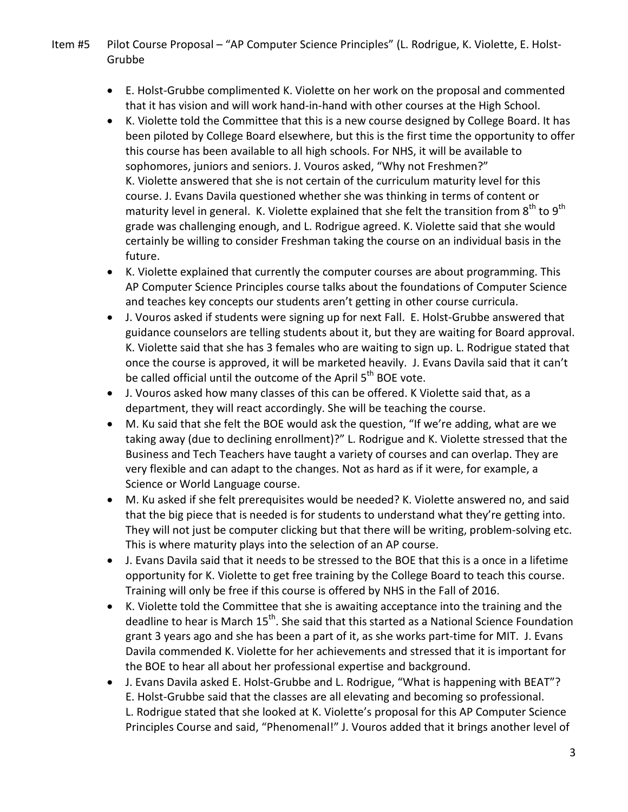- Item #5 Pilot Course Proposal "AP Computer Science Principles" (L. Rodrigue, K. Violette, E. Holst-Grubbe
	- E. Holst-Grubbe complimented K. Violette on her work on the proposal and commented that it has vision and will work hand-in-hand with other courses at the High School.
	- K. Violette told the Committee that this is a new course designed by College Board. It has been piloted by College Board elsewhere, but this is the first time the opportunity to offer this course has been available to all high schools. For NHS, it will be available to sophomores, juniors and seniors. J. Vouros asked, "Why not Freshmen?" K. Violette answered that she is not certain of the curriculum maturity level for this course. J. Evans Davila questioned whether she was thinking in terms of content or maturity level in general. K. Violette explained that she felt the transition from  $8^{th}$  to  $9^{th}$ grade was challenging enough, and L. Rodrigue agreed. K. Violette said that she would certainly be willing to consider Freshman taking the course on an individual basis in the future.
	- K. Violette explained that currently the computer courses are about programming. This AP Computer Science Principles course talks about the foundations of Computer Science and teaches key concepts our students aren't getting in other course curricula.
	- J. Vouros asked if students were signing up for next Fall. E. Holst-Grubbe answered that guidance counselors are telling students about it, but they are waiting for Board approval. K. Violette said that she has 3 females who are waiting to sign up. L. Rodrigue stated that once the course is approved, it will be marketed heavily. J. Evans Davila said that it can't be called official until the outcome of the April 5<sup>th</sup> BOE vote.
	- J. Vouros asked how many classes of this can be offered. K Violette said that, as a department, they will react accordingly. She will be teaching the course.
	- M. Ku said that she felt the BOE would ask the question, "If we're adding, what are we taking away (due to declining enrollment)?" L. Rodrigue and K. Violette stressed that the Business and Tech Teachers have taught a variety of courses and can overlap. They are very flexible and can adapt to the changes. Not as hard as if it were, for example, a Science or World Language course.
	- M. Ku asked if she felt prerequisites would be needed? K. Violette answered no, and said that the big piece that is needed is for students to understand what they're getting into. They will not just be computer clicking but that there will be writing, problem-solving etc. This is where maturity plays into the selection of an AP course.
	- J. Evans Davila said that it needs to be stressed to the BOE that this is a once in a lifetime opportunity for K. Violette to get free training by the College Board to teach this course. Training will only be free if this course is offered by NHS in the Fall of 2016.
	- K. Violette told the Committee that she is awaiting acceptance into the training and the deadline to hear is March  $15<sup>th</sup>$ . She said that this started as a National Science Foundation grant 3 years ago and she has been a part of it, as she works part-time for MIT. J. Evans Davila commended K. Violette for her achievements and stressed that it is important for the BOE to hear all about her professional expertise and background.
	- J. Evans Davila asked E. Holst-Grubbe and L. Rodrigue, "What is happening with BEAT"? E. Holst-Grubbe said that the classes are all elevating and becoming so professional. L. Rodrigue stated that she looked at K. Violette's proposal for this AP Computer Science Principles Course and said, "Phenomenal!" J. Vouros added that it brings another level of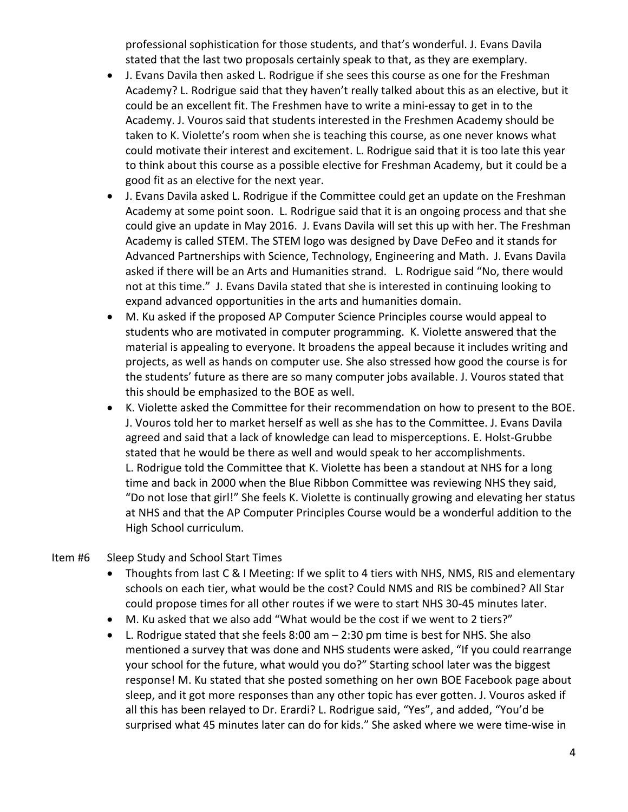professional sophistication for those students, and that's wonderful. J. Evans Davila stated that the last two proposals certainly speak to that, as they are exemplary.

- J. Evans Davila then asked L. Rodrigue if she sees this course as one for the Freshman Academy? L. Rodrigue said that they haven't really talked about this as an elective, but it could be an excellent fit. The Freshmen have to write a mini-essay to get in to the Academy. J. Vouros said that students interested in the Freshmen Academy should be taken to K. Violette's room when she is teaching this course, as one never knows what could motivate their interest and excitement. L. Rodrigue said that it is too late this year to think about this course as a possible elective for Freshman Academy, but it could be a good fit as an elective for the next year.
- J. Evans Davila asked L. Rodrigue if the Committee could get an update on the Freshman Academy at some point soon. L. Rodrigue said that it is an ongoing process and that she could give an update in May 2016. J. Evans Davila will set this up with her. The Freshman Academy is called STEM. The STEM logo was designed by Dave DeFeo and it stands for Advanced Partnerships with Science, Technology, Engineering and Math. J. Evans Davila asked if there will be an Arts and Humanities strand. L. Rodrigue said "No, there would not at this time." J. Evans Davila stated that she is interested in continuing looking to expand advanced opportunities in the arts and humanities domain.
- M. Ku asked if the proposed AP Computer Science Principles course would appeal to students who are motivated in computer programming. K. Violette answered that the material is appealing to everyone. It broadens the appeal because it includes writing and projects, as well as hands on computer use. She also stressed how good the course is for the students' future as there are so many computer jobs available. J. Vouros stated that this should be emphasized to the BOE as well.
- K. Violette asked the Committee for their recommendation on how to present to the BOE. J. Vouros told her to market herself as well as she has to the Committee. J. Evans Davila agreed and said that a lack of knowledge can lead to misperceptions. E. Holst-Grubbe stated that he would be there as well and would speak to her accomplishments. L. Rodrigue told the Committee that K. Violette has been a standout at NHS for a long time and back in 2000 when the Blue Ribbon Committee was reviewing NHS they said, "Do not lose that girl!" She feels K. Violette is continually growing and elevating her status at NHS and that the AP Computer Principles Course would be a wonderful addition to the High School curriculum.

## Item #6 Sleep Study and School Start Times

- Thoughts from last C & I Meeting: If we split to 4 tiers with NHS, NMS, RIS and elementary schools on each tier, what would be the cost? Could NMS and RIS be combined? All Star could propose times for all other routes if we were to start NHS 30-45 minutes later.
- M. Ku asked that we also add "What would be the cost if we went to 2 tiers?"
- L. Rodrigue stated that she feels 8:00 am 2:30 pm time is best for NHS. She also mentioned a survey that was done and NHS students were asked, "If you could rearrange your school for the future, what would you do?" Starting school later was the biggest response! M. Ku stated that she posted something on her own BOE Facebook page about sleep, and it got more responses than any other topic has ever gotten. J. Vouros asked if all this has been relayed to Dr. Erardi? L. Rodrigue said, "Yes", and added, "You'd be surprised what 45 minutes later can do for kids." She asked where we were time-wise in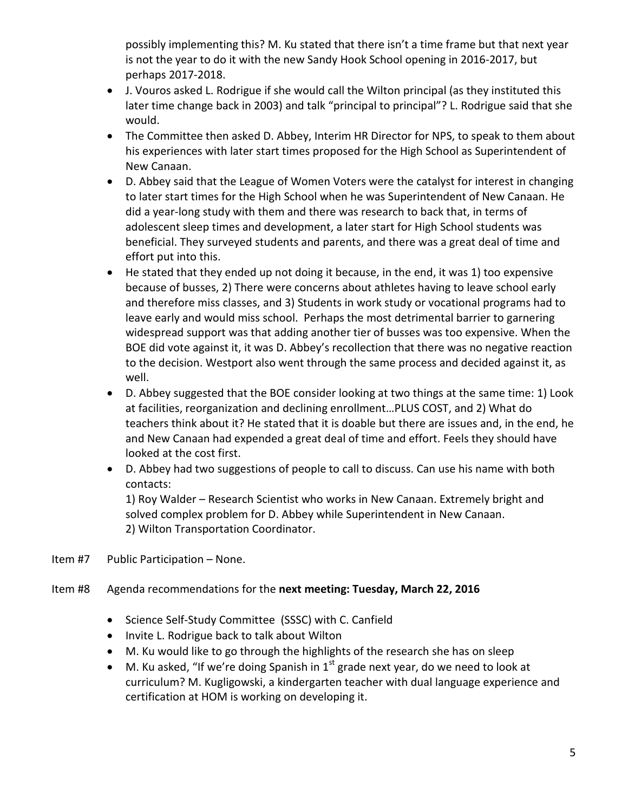possibly implementing this? M. Ku stated that there isn't a time frame but that next year is not the year to do it with the new Sandy Hook School opening in 2016-2017, but perhaps 2017-2018.

- J. Vouros asked L. Rodrigue if she would call the Wilton principal (as they instituted this later time change back in 2003) and talk "principal to principal"? L. Rodrigue said that she would.
- The Committee then asked D. Abbey, Interim HR Director for NPS, to speak to them about his experiences with later start times proposed for the High School as Superintendent of New Canaan.
- D. Abbey said that the League of Women Voters were the catalyst for interest in changing to later start times for the High School when he was Superintendent of New Canaan. He did a year-long study with them and there was research to back that, in terms of adolescent sleep times and development, a later start for High School students was beneficial. They surveyed students and parents, and there was a great deal of time and effort put into this.
- He stated that they ended up not doing it because, in the end, it was 1) too expensive because of busses, 2) There were concerns about athletes having to leave school early and therefore miss classes, and 3) Students in work study or vocational programs had to leave early and would miss school. Perhaps the most detrimental barrier to garnering widespread support was that adding another tier of busses was too expensive. When the BOE did vote against it, it was D. Abbey's recollection that there was no negative reaction to the decision. Westport also went through the same process and decided against it, as well.
- D. Abbey suggested that the BOE consider looking at two things at the same time: 1) Look at facilities, reorganization and declining enrollment…PLUS COST, and 2) What do teachers think about it? He stated that it is doable but there are issues and, in the end, he and New Canaan had expended a great deal of time and effort. Feels they should have looked at the cost first.
- D. Abbey had two suggestions of people to call to discuss. Can use his name with both contacts:

1) Roy Walder – Research Scientist who works in New Canaan. Extremely bright and solved complex problem for D. Abbey while Superintendent in New Canaan. 2) Wilton Transportation Coordinator.

Item #7 Public Participation – None.

## Item #8 Agenda recommendations for the **next meeting: Tuesday, March 22, 2016**

- Science Self-Study Committee (SSSC) with C. Canfield
- Invite L. Rodrigue back to talk about Wilton
- M. Ku would like to go through the highlights of the research she has on sleep
- M. Ku asked, "If we're doing Spanish in  $1<sup>st</sup>$  grade next year, do we need to look at curriculum? M. Kugligowski, a kindergarten teacher with dual language experience and certification at HOM is working on developing it.